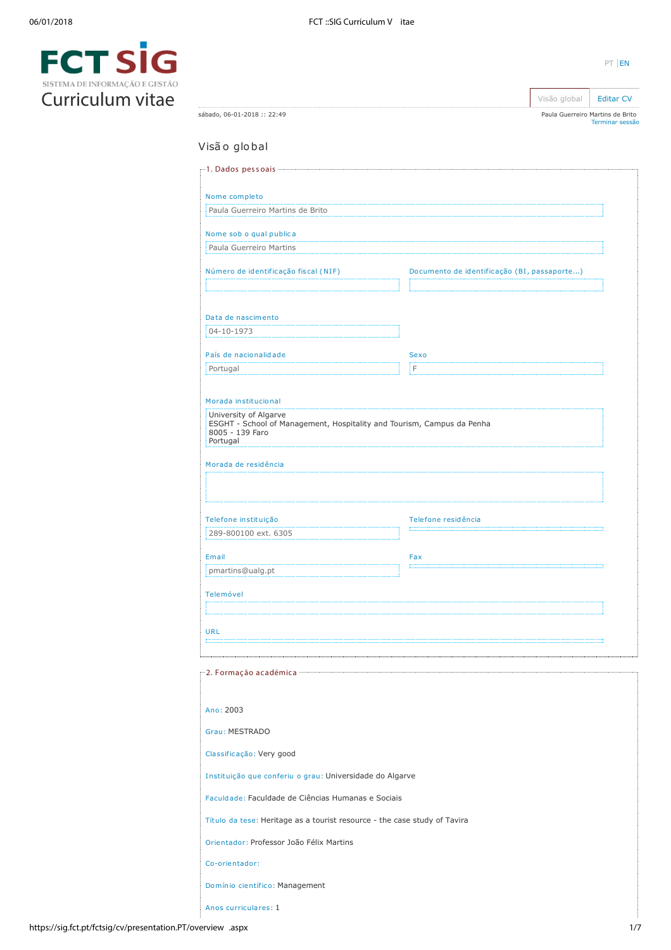

|                                                                                                                                |                                             | Visão global | <b>Editar CV</b>                                    |
|--------------------------------------------------------------------------------------------------------------------------------|---------------------------------------------|--------------|-----------------------------------------------------|
| sábado, 06-01-2018 :: 22:49                                                                                                    |                                             |              | Paula Guerreiro Martins de Brito<br>Terminar sessão |
| Visão global                                                                                                                   |                                             |              |                                                     |
|                                                                                                                                |                                             |              |                                                     |
| Nome completo                                                                                                                  |                                             |              |                                                     |
| Paula Guerreiro Martins de Brito                                                                                               |                                             |              |                                                     |
| Nome sob o qual publica                                                                                                        |                                             |              |                                                     |
| Paula Guerreiro Martins                                                                                                        |                                             |              |                                                     |
| Número de identificação fiscal (NIF)                                                                                           | Documento de identificação (BI, passaporte) |              |                                                     |
| Data de nascimento                                                                                                             |                                             |              |                                                     |
| 04-10-1973                                                                                                                     |                                             |              |                                                     |
| País de nacionalidade                                                                                                          | <b>Sexo</b>                                 |              |                                                     |
| Portugal                                                                                                                       | F                                           |              |                                                     |
| Morada institucional                                                                                                           |                                             |              |                                                     |
| University of Algarve<br>ESGHT - School of Management, Hospitality and Tourism, Campus da Penha<br>8005 - 139 Faro<br>Portugal |                                             |              |                                                     |
| Morada de residência                                                                                                           |                                             |              |                                                     |
|                                                                                                                                |                                             |              |                                                     |
|                                                                                                                                |                                             |              |                                                     |
| Telefone instituição                                                                                                           | Telefone residência                         |              |                                                     |
| 289-800100 ext. 6305                                                                                                           |                                             |              |                                                     |
| Email                                                                                                                          | Fax                                         |              |                                                     |
| pmartins@ualg.pt                                                                                                               |                                             |              |                                                     |
| Telemóvel                                                                                                                      |                                             |              |                                                     |
|                                                                                                                                |                                             |              |                                                     |
| URL                                                                                                                            |                                             |              |                                                     |
|                                                                                                                                |                                             |              |                                                     |
|                                                                                                                                |                                             |              |                                                     |
|                                                                                                                                |                                             |              |                                                     |
| Ano: 2003                                                                                                                      |                                             |              |                                                     |
| Grau: MESTRADO                                                                                                                 |                                             |              |                                                     |
| Classificação: Very good                                                                                                       |                                             |              |                                                     |
| Instituição que conferiu o grau: Universidade do Algarve                                                                       |                                             |              |                                                     |
| Faculdade: Faculdade de Ciências Humanas e Sociais                                                                             |                                             |              |                                                     |
| Título da tese: Heritage as a tourist resource - the case study of Tavira                                                      |                                             |              |                                                     |
| Orientador: Professor João Félix Martins                                                                                       |                                             |              |                                                     |
| Co-orientador:                                                                                                                 |                                             |              |                                                     |
|                                                                                                                                |                                             |              |                                                     |
| Domínio científico: Management                                                                                                 |                                             |              |                                                     |
| Anos curriculares: 1                                                                                                           |                                             |              |                                                     |

PT [EN](https://sig.fct.pt/fctsig/cv/presentation.en/overview.aspx)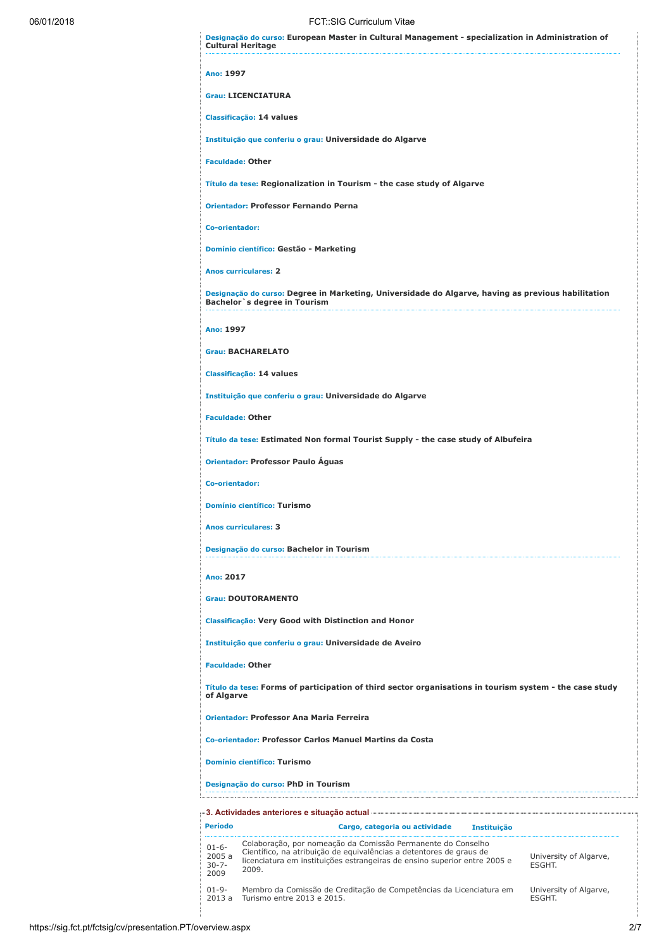Designação do curso: European Master in Cultural Management - specialization in Administration of

06/01/2018 FCT::SIG Curriculum Vitae Cultural Heritage Ano: 1997 Grau: LICENCIATURA Classificação: 14 values Instituição que conferiu o grau: Universidade do Algarve Faculdade: Other Título da tese: Regionalization in Tourism - the case study of Algarve Orientador: Professor Fernando Perna Co-orientador: Domínio científico: Gestão - Marketing Anos curriculares: 2 Designação do curso: Degree in Marketing, Universidade do Algarve, having as previous habilitation Bachelor`s degree in Tourism Ano: 1997 Grau: BACHARELATO Classificação: 14 values Instituição que conferiu o grau: Universidade do Algarve Faculdade: Other Título da tese: Estimated Non formal Tourist Supply - the case study of Albufeira Orientador: Professor Paulo Águas Co-orientador: Domínio científico: Turismo Anos curriculares: 3 Designação do curso: Bachelor in Tourism Ano: 2017 Grau: DOUTORAMENTO Classificação: Very Good with Distinction and Honor Instituição que conferiu o grau: Universidade de Aveiro Faculdade: Other Título da tese: Forms of participation of third sector organisations in tourism system - the case study of Algarve Orientador: Professor Ana Maria Ferreira Co-orientador: Professor Carlos Manuel Martins da Costa Domínio científico: Turismo Designação do curso: PhD in Tourism

| Período                                 | Cargo, categoria ou actividade<br><b>Instituicão</b>                                                                                                                                                                      |                                        |
|-----------------------------------------|---------------------------------------------------------------------------------------------------------------------------------------------------------------------------------------------------------------------------|----------------------------------------|
| $01-6-$<br>2005 a<br>$30 - 7 -$<br>2009 | Colaboração, por nomeação da Comissão Permanente do Conselho<br>Científico, na atribuição de equivalências a detentores de graus de<br>licenciatura em instituições estrangeiras de ensino superior entre 2005 e<br>2009. | University of Algarve,<br><b>FSGHT</b> |
| $01 - 9 -$<br>2013a                     | Membro da Comissão de Creditação de Competências da Licenciatura em<br>Turismo entre 2013 e 2015.                                                                                                                         | University of Algarve,<br><b>FSGHT</b> |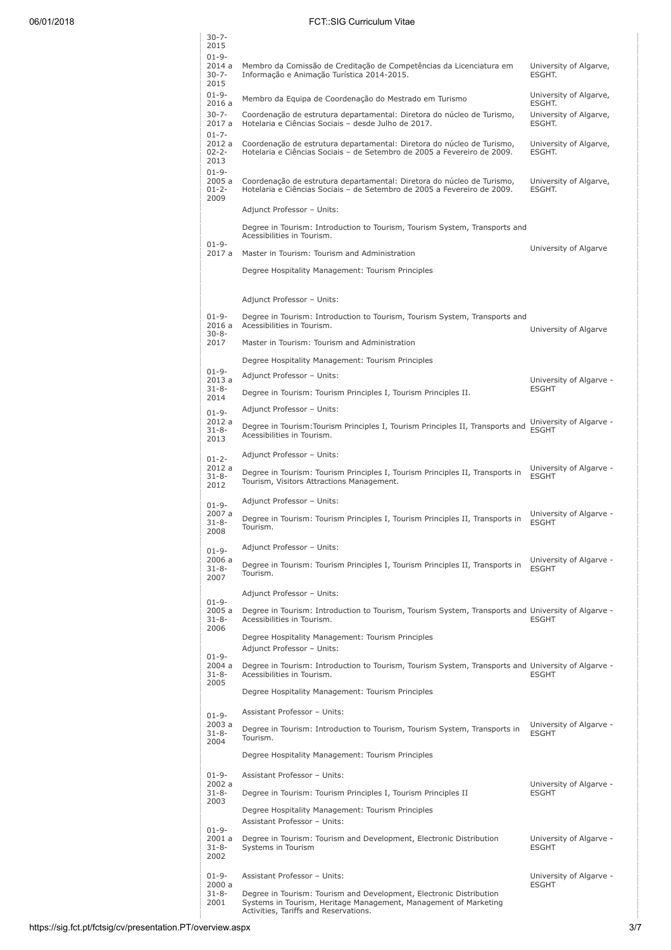# 06/01/2018 FCT::SIG Curriculum Vitae

|  | $30 - 7 -$<br>2015                         |                                                                                                                                                                                  |                                            |
|--|--------------------------------------------|----------------------------------------------------------------------------------------------------------------------------------------------------------------------------------|--------------------------------------------|
|  | $01 - 9 -$<br>2014 a<br>$30 - 7 -$         | Membro da Comissão de Creditação de Competências da Licenciatura em<br>Informação e Animação Turística 2014-2015.                                                                | University of Algarve,<br>ESGHT.           |
|  | 2015<br>$01 - 9 -$                         | Membro da Equipa de Coordenação do Mestrado em Turismo                                                                                                                           | University of Algarve,                     |
|  | 2016 a<br>$30 - 7 -$<br>2017 a             | Coordenação de estrutura departamental: Diretora do núcleo de Turismo,<br>Hotelaria e Ciências Sociais - desde Julho de 2017.                                                    | ESGHT.<br>University of Algarve,<br>ESGHT. |
|  | $01 - 7 -$<br>2012 a<br>$02 - 2 -$<br>2013 | Coordenação de estrutura departamental: Diretora do núcleo de Turismo,<br>Hotelaria e Ciências Sociais - de Setembro de 2005 a Fevereiro de 2009.                                | University of Algarve,<br>ESGHT.           |
|  | $01 - 9 -$<br>2005a<br>$01 - 2 -$<br>2009  | Coordenação de estrutura departamental: Diretora do núcleo de Turismo,<br>Hotelaria e Ciências Sociais - de Setembro de 2005 a Fevereiro de 2009.                                | University of Algarve,<br>ESGHT.           |
|  |                                            | Adjunct Professor - Units:                                                                                                                                                       |                                            |
|  | $01 - 9 -$                                 | Degree in Tourism: Introduction to Tourism, Tourism System, Transports and<br>Acessibilities in Tourism.                                                                         |                                            |
|  | 2017 a                                     | Master in Tourism: Tourism and Administration                                                                                                                                    | University of Algarve                      |
|  |                                            | Degree Hospitality Management: Tourism Principles                                                                                                                                |                                            |
|  |                                            | Adjunct Professor - Units:                                                                                                                                                       |                                            |
|  | $01 - 9 -$<br>2016a                        | Degree in Tourism: Introduction to Tourism, Tourism System, Transports and<br>Acessibilities in Tourism.                                                                         | University of Algarve                      |
|  | $30 - 8 -$<br>2017                         | Master in Tourism: Tourism and Administration                                                                                                                                    |                                            |
|  |                                            | Degree Hospitality Management: Tourism Principles                                                                                                                                |                                            |
|  | $01 - 9 -$<br>2013a                        | Adjunct Professor - Units:                                                                                                                                                       | University of Algarve -                    |
|  | $31 - 8 -$<br>2014                         | Degree in Tourism: Tourism Principles I, Tourism Principles II.                                                                                                                  | <b>ESGHT</b>                               |
|  | $01 - 9 -$                                 | Adjunct Professor - Units:                                                                                                                                                       |                                            |
|  | 2012 a<br>$31 - 8 -$<br>2013               | Degree in Tourism: Tourism Principles I, Tourism Principles II, Transports and<br>Acessibilities in Tourism.                                                                     | University of Algarve -<br><b>ESGHT</b>    |
|  | $01 - 2 -$                                 | Adjunct Professor - Units:                                                                                                                                                       |                                            |
|  | 2012 a<br>$31 - 8 -$<br>2012               | Degree in Tourism: Tourism Principles I, Tourism Principles II, Transports in<br>Tourism, Visitors Attractions Management.                                                       | University of Algarve -<br><b>ESGHT</b>    |
|  | $01 - 9 -$                                 | Adjunct Professor - Units:                                                                                                                                                       |                                            |
|  | 2007 a<br>$31 - 8 -$<br>2008               | Degree in Tourism: Tourism Principles I, Tourism Principles II, Transports in<br>Tourism.                                                                                        | University of Algarve -<br><b>ESGHT</b>    |
|  | $01 - 9 -$                                 | Adjunct Professor - Units:                                                                                                                                                       |                                            |
|  | 2006 a<br>$31 - 8 -$<br>2007               | Degree in Tourism: Tourism Principles I, Tourism Principles II, Transports in<br>Tourism.                                                                                        | University of Algarve -<br><b>ESGHT</b>    |
|  | $01 - 9 -$                                 | Adjunct Professor - Units:                                                                                                                                                       |                                            |
|  | 2005 a<br>$31 - 8 -$<br>2006               | Degree in Tourism: Introduction to Tourism, Tourism System, Transports and University of Algarve -<br>Acessibilities in Tourism.                                                 | <b>ESGHT</b>                               |
|  | $01 - 9 -$                                 | Degree Hospitality Management: Tourism Principles<br>Adjunct Professor - Units:                                                                                                  |                                            |
|  | 2004 a<br>$31 - 8 -$<br>2005               | Degree in Tourism: Introduction to Tourism, Tourism System, Transports and University of Algarve -<br>Acessibilities in Tourism.                                                 | <b>ESGHT</b>                               |
|  |                                            | Degree Hospitality Management: Tourism Principles                                                                                                                                |                                            |
|  | $01 - 9 -$                                 | Assistant Professor - Units:                                                                                                                                                     |                                            |
|  | 2003 a<br>$31 - 8 -$<br>2004               | Degree in Tourism: Introduction to Tourism, Tourism System, Transports in<br>Tourism.                                                                                            | University of Algarve -<br><b>ESGHT</b>    |
|  |                                            | Degree Hospitality Management: Tourism Principles                                                                                                                                |                                            |
|  | $01 - 9 -$                                 | Assistant Professor - Units:                                                                                                                                                     |                                            |
|  | 2002a<br>$31 - 8 -$                        | Degree in Tourism: Tourism Principles I, Tourism Principles II                                                                                                                   | University of Algarve -<br><b>ESGHT</b>    |
|  | 2003                                       | Degree Hospitality Management: Tourism Principles<br>Assistant Professor - Units:                                                                                                |                                            |
|  | $01 - 9 -$<br>2001 a<br>$31 - 8 -$<br>2002 | Degree in Tourism: Tourism and Development, Electronic Distribution<br>Systems in Tourism                                                                                        | University of Algarve -<br><b>ESGHT</b>    |
|  | $01 - 9 -$                                 | Assistant Professor - Units:                                                                                                                                                     | University of Algarve -                    |
|  | 2000 a<br>$31 - 8 -$<br>2001               | Degree in Tourism: Tourism and Development, Electronic Distribution<br>Systems in Tourism, Heritage Management, Management of Marketing<br>Activities, Tariffs and Reservations. | <b>ESGHT</b>                               |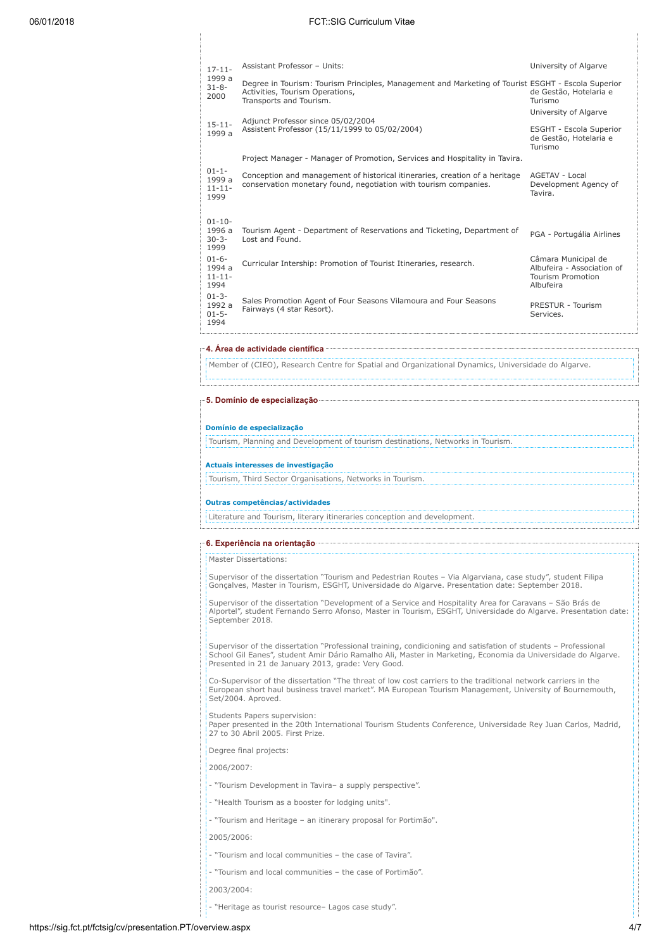| $17 - 11 -$                                 | Assistant Professor - Units:                                                                                                                                     | University of Algarve                                                                      |
|---------------------------------------------|------------------------------------------------------------------------------------------------------------------------------------------------------------------|--------------------------------------------------------------------------------------------|
| 1999 a<br>$31 - 8 -$<br>2000                | Degree in Tourism: Tourism Principles, Management and Marketing of Tourist ESGHT - Escola Superior<br>Activities, Tourism Operations,<br>Transports and Tourism. | de Gestão, Hotelaria e<br>Turismo                                                          |
|                                             |                                                                                                                                                                  | University of Algarve                                                                      |
| $15 - 11 -$<br>1999 a                       | Adjunct Professor since 05/02/2004<br>Assistent Professor (15/11/1999 to 05/02/2004)                                                                             | ESGHT - Escola Superior<br>de Gestão, Hotelaria e<br>Turismo                               |
|                                             | Project Manager - Manager of Promotion, Services and Hospitality in Tavira.                                                                                      |                                                                                            |
| $01 - 1 -$<br>1999 a<br>$11 - 11 -$<br>1999 | Conception and management of historical itineraries, creation of a heritage<br>conservation monetary found, negotiation with tourism companies.                  | AGETAV - Local<br>Development Agency of<br>Tavira.                                         |
| $01 - 10 -$<br>1996 a<br>$30 - 3 -$         | Tourism Agent - Department of Reservations and Ticketing, Department of<br>Lost and Found.                                                                       | PGA - Portugália Airlines                                                                  |
| 1999                                        |                                                                                                                                                                  |                                                                                            |
| $01 - 6 -$<br>1994 a<br>$11 - 11 -$<br>1994 | Curricular Intership: Promotion of Tourist Itineraries, research.                                                                                                | Câmara Municipal de<br>Albufeira - Association of<br><b>Tourism Promotion</b><br>Albufeira |
| $01 - 3 -$<br>1992 a<br>$01 - 5 -$<br>1994  | Sales Promotion Agent of Four Seasons Vilamoura and Four Seasons<br>Fairways (4 star Resort).                                                                    | PRESTUR - Tourism<br>Services.                                                             |

4. Área de actividade científica

Member of (CIEO), Research Centre for Spatial and Organizational Dynamics, Universidade do Algarve.

# 5. Domínio de especialização

### Domínio de especialização

Tourism, Planning and Development of tourism destinations, Networks in Tourism.

# Actuais interesses de investigação

Tourism, Third Sector Organisations, Networks in Tourism.

### Outras competências/actividades

Literature and Tourism, literary itineraries conception and development.

## 6. Experiência na orientação

Master Dissertations:

Supervisor of the dissertation "Tourism and Pedestrian Routes – Via Algarviana, case study", student Filipa Gonçalves, Master in Tourism, ESGHT, Universidade do Algarve. Presentation date: September 2018.

Supervisor of the dissertation "Development of a Service and Hospitality Area for Caravans – São Brás de Alportel", student Fernando Serro Afonso, Master in Tourism, ESGHT, Universidade do Algarve. Presentation date: September 2018.

Supervisor of the dissertation "Professional training, condicioning and satisfation of students – Professional School Gil Eanes", student Amir Dário Ramalho Ali, Master in Marketing, Economia da Universidade do Algarve. Presented in 21 de January 2013, grade: Very Good.

Co-Supervisor of the dissertation "The threat of low cost carriers to the traditional network carriers in the European short haul business travel market". MA European Tourism Management, University of Bournemouth, Set/2004. Aproved.

Students Papers supervision: Paper presented in the 20th International Tourism Students Conference, Universidade Rey Juan Carlos, Madrid, 27 to 30 Abril 2005. First Prize.

Degree final projects:

2006/2007:

- "Tourism Development in Tavira– a supply perspective".
- "Health Tourism as a booster for lodging units".
- "Tourism and Heritage an itinerary proposal for Portimão".

2005/2006:

- "Tourism and local communities the case of Tavira".
- "Tourism and local communities the case of Portimão".
- 2003/2004:
- "Heritage as tourist resource– Lagos case study".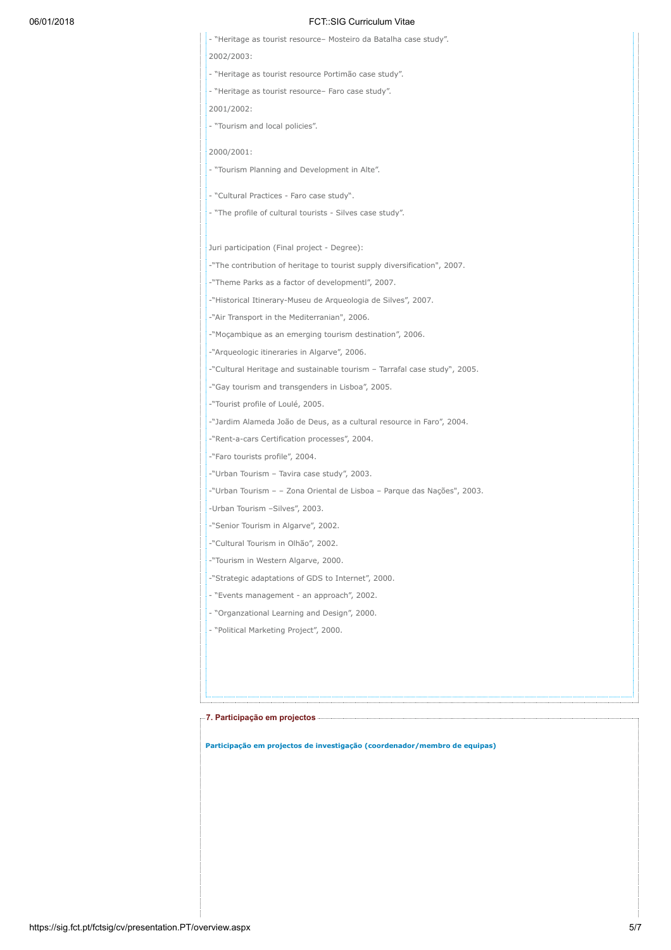# 06/01/2018 FCT::SIG Curriculum Vitae

| - "Heritage as tourist resource- Mosteiro da Batalha case study".         |
|---------------------------------------------------------------------------|
| 2002/2003:                                                                |
| - "Heritage as tourist resource Portimão case study".                     |
| - "Heritage as tourist resource- Faro case study".                        |
| 2001/2002:                                                                |
| - "Tourism and local policies".                                           |
|                                                                           |
| 2000/2001:                                                                |
| - "Tourism Planning and Development in Alte".                             |
| - "Cultural Practices - Faro case study".                                 |
| - "The profile of cultural tourists - Silves case study".                 |
|                                                                           |
| Juri participation (Final project - Degree):                              |
| -"The contribution of heritage to tourist supply diversification", 2007.  |
| -"Theme Parks as a factor of developmentl", 2007.                         |
| -"Historical Itinerary-Museu de Arqueologia de Silves", 2007.             |
| -"Air Transport in the Mediterranian", 2006.                              |
| -"Moçambique as an emerging tourism destination", 2006.                   |
| -"Arqueologic itineraries in Algarve", 2006.                              |
| -"Cultural Heritage and sustainable tourism - Tarrafal case study", 2005. |
| -"Gay tourism and transgenders in Lisboa", 2005.                          |
| -"Tourist profile of Loulé, 2005.                                         |
| -"Jardim Alameda João de Deus, as a cultural resource in Faro", 2004.     |
| -"Rent-a-cars Certification processes", 2004.                             |
| -"Faro tourists profile", 2004.                                           |
| -"Urban Tourism - Tavira case study", 2003.                               |
| -"Urban Tourism – – Zona Oriental de Lisboa – Parque das Nações", 2003.   |
| -Urban Tourism -Silves", 2003.                                            |
| -"Senior Tourism in Algarve", 2002.                                       |
| -"Cultural Tourism in Olhão", 2002.                                       |
| -"Tourism in Western Algarve, 2000.                                       |
| -"Strategic adaptations of GDS to Internet", 2000.                        |
| - "Events management - an approach", 2002.                                |
| - "Organzational Learning and Design", 2000.                              |
| - "Political Marketing Project", 2000.                                    |
|                                                                           |
|                                                                           |
|                                                                           |

re 7. Participação em projectos em entre a construction de la construction de la construction de la construction

Participação em projectos de investigação (coordenador/membro de equipas)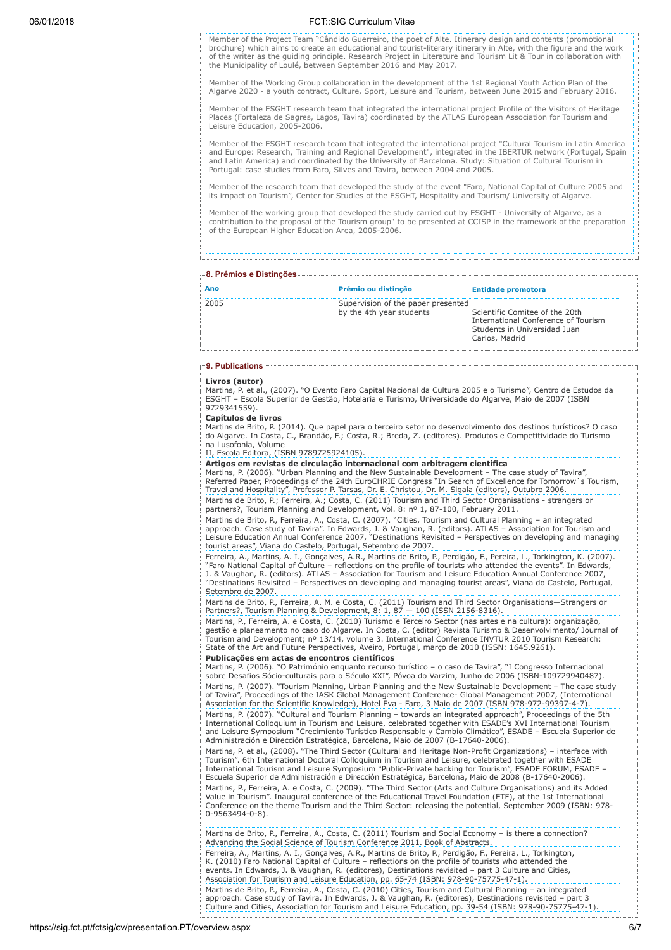# 06/01/2018 FCT::SIG Curriculum Vitae

Member of the Project Team "Cândido Guerreiro, the poet of Alte. Itinerary design and contents (promotional brochure) which aims to create an educational and tourist-literary itinerary in Alte, with the figure and the work of the writer as the guiding principle. Research Project in Literature and Tourism Lit & Tour in collaboration with the Municipality of Loulé, between September 2016 and May 2017.

Member of the Working Group collaboration in the development of the 1st Regional Youth Action Plan of the Algarve 2020 - a youth contract, Culture, Sport, Leisure and Tourism, between June 2015 and February 2016.

Member of the ESGHT research team that integrated the international project Profile of the Visitors of Heritage Places (Fortaleza de Sagres, Lagos, Tavira) coordinated by the ATLAS European Association for Tourism and Leisure Education, 2005-2006.

Member of the ESGHT research team that integrated the international project "Cultural Tourism in Latin America and Europe: Research, Training and Regional Development", integrated in the IBERTUR network (Portugal, Spain and Latin America) and coordinated by the University of Barcelona. Study: Situation of Cultural Tourism in Portugal: case studies from Faro, Silves and Tavira, between 2004 and 2005.

Member of the research team that developed the study of the event "Faro, National Capital of Culture 2005 and its impact on Tourism", Center for Studies of the ESGHT, Hospitality and Tourism/ University of Algarve.

Member of the working group that developed the study carried out by ESGHT - University of Algarve, as a contribution to the proposal of the Tourism group" to be presented at CCISP in the framework of the preparation of the European Higher Education Area, 2005-2006.

# 8. Prémios e Distinções

| Ano  | Prémio ou distinção                                            | <b>Entidade promotora</b>                                                                                               |
|------|----------------------------------------------------------------|-------------------------------------------------------------------------------------------------------------------------|
| 2005 | Supervision of the paper presented<br>by the 4th year students | Scientific Comitee of the 20th<br>International Conference of Tourism<br>Students in Universidad Juan<br>Carlos, Madrid |

# 9. Publications .........

#### Livros (autor)

Martins, P. et al., (2007). "O Evento Faro Capital Nacional da Cultura 2005 e o Turismo", Centro de Estudos da ESGHT – Escola Superior de Gestão, Hotelaria e Turismo, Universidade do Algarve, Maio de 2007 (ISBN 9729341559).

### Capítulos de livros

Martins de Brito, P. (2014). Que papel para o terceiro setor no desenvolvimento dos destinos turísticos? O caso do Algarve. In Costa, C., Brandão, F.; Costa, R.; Breda, Z. (editores). Produtos e Competitividade do Turismo

na Lusofonia, Volume II, Escola Editora, (ISBN 9789725924105).

**Artigos em revistas de circulação internacional com arbitragem científica**<br>Martins, P. (2006). "Urban Planning and the New Sustainable Development – The case study of Tavira",<br>Referred Paper, Proceedings of the 24th EuroC Travel and Hospitality", Professor P. Tarsas, Dr. E. Christou, Dr. M. Sigala (editors), Outubro 2006. Martins de Brito, P.; Ferreira, A.; Costa, C. (2011) Tourism and Third Sector Organisations - strangers or partners?, Tourism Planning and Development, Vol. 8: nº 1, 87-100, February 2011.

Martins de Brito, P., Ferreira, A., Costa, C. (2007). "Cities, Tourism and Cultural Planning – an integrated<br>approach. Case study of Tavira". In Edwards, J. & Vaughan, R. (editors). ATLAS – Association for Tourism and<br>Leis tourist areas", Viana do Castelo, Portugal, Setembro de 2007.

Ferreira, A., Martins, A. I., Gonçalves, A.R., Martins de Brito, P., Perdigão, F., Pereira, L., Torkington, K. (2007). "Faro National Capital of Culture – reflections on the profile of tourists who attended the events". In Edwards, J. & Vaughan, R. (editors). ATLAS – Association for Tourism and Leisure Education Annual Conference 2007, "Destinations Revisited – Perspectives on developing and managing tourist areas", Viana do Castelo, Portugal, Setembro de 2007.

Martins de Brito, P., Ferreira, A. M. e Costa, C. (2011) Tourism and Third Sector Organisations—Strangers or Partners?, Tourism Planning & Development, 8: 1, 87 – 100 (ISSN 2156-8316).

Martins, P., Ferreira, A. e Costa, C. (2010) Turismo e Terceiro Sector (nas artes e na cultura): organização, gestão e planeamento no caso do Algarve. In Costa, C. (editor) Revista Turismo & Desenvolvimento/ Journal of Tourism and Development; nº 13/14, volume 3. International Conference INVTUR 2010 Tourism Research: State of the Art and Future Perspectives, Aveiro, Portugal, março de 2010 (ISSN: 1645.9261).

Publicações em actas de encontros científicos

Martins, P. (2006). "O Património enquanto recurso turístico – o caso de Tavira", "I Congresso Internacional sobre Desafios Sócio-culturais para o Século XXI", Póvoa do Varzim, Junho de 2006 (ISBN-109729940487). Martins, P. (2007). "Tourism Planning, Urban Planning and the New Sustainable Development – The case study of Tavira", Proceedings of the IASK Global Management Conference- Global Management 2007, (International Association for the Scientific Knowledge), Hotel Eva - Faro, 3 Maio de 2007 (ISBN 978-972-99397-4-7). Martins, P. (2007). "Cultural and Tourism Planning – towards an integrated approach", Proceedings of the 5th<br>International Colloquium in Tourism and Leisure, celebrated together with ESADE's XVI International Tourism<br>and L Administración e Dirección Estratégica, Barcelona, Maio de 2007 (B-17640-2006).

Martins, P. et al., (2008). "The Third Sector (Cultural and Heritage Non-Profit Organizations) – interface with Tourism". 6th International Doctoral Colloquium in Tourism and Leisure, celebrated together with ESADE International Tourism and Leisure Symposium "Public-Private backing for Tourism", ESADE FORUM, ESADE – Escuela Superior de Administración e Dirección Estratégica, Barcelona, Maio de 2008 (B-17640-2006). Martins, P., Ferreira, A. e Costa, C. (2009). "The Third Sector (Arts and Culture Organisations) and its Added Value in Tourism". Inaugural conference of the Educational Travel Foundation (ETF), at the 1st International Conference on the theme Tourism and the Third Sector: releasing the potential, September 2009 (ISBN: 978- 0-9563494-0-8).

Martins de Brito, P., Ferreira, A., Costa, C. (2011) Tourism and Social Economy - is there a connection? Advancing the Social Science of Tourism Conference 2011. Book of Abstracts. Ferreira, A., Martins, A. I., Gonçalves, A.R., Martins de Brito, P., Perdigão, F., Pereira, L., Torkington, K. (2010) Faro National Capital of Culture – reflections on the profile of tourists who attended the events. In Edwards, J. & Vaughan, R. (editores), Destinations revisited – part 3 Culture and Cities, Association for Tourism and Leisure Education, pp. 65-74 (ISBN: 978-90-75775-47-1). Martins de Brito, P., Ferreira, A., Costa, C. (2010) Cities, Tourism and Cultural Planning – an integrated approach. Case study of Tavira. In Edwards, J. & Vaughan, R. (editores), Destinations revisited – part 3 Culture and Cities, Association for Tourism and Leisure Education, pp. 39-54 (ISBN: 978-90-75775-47-1).